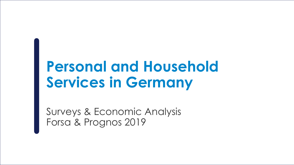# **Personal and Household Services in Germany**

Surveys & Economic Analysis Forsa & Prognos 2019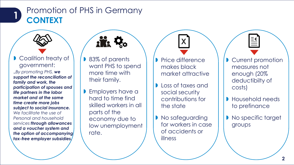

# Promotion of PHS in Germany **CONTEXT 1**



"*By promoting PHS, we support the reconciliation of family and work, the participation of spouses and life partners in the labor market and at the same time create more jobs subject to social insurance. We facilitate the use of Personal and household services through allowances and a voucher system and the option of accompanying tax-free employer subsidies.*



- **83% of parents** want PHS to spend more time with their family.
- **B** Employers have a hard to time find skilled workers in all parts of the economy due to low unemployment rate.
- **Price difference** makes black market attractive

**X**

- **Loss of taxes and Loss of taxes** social security contributions for the state
- **No safeguarding** for workers in case of accidents or illness
- **Current promotion** measures not enough (20% deductibilty of costs)
- **Household needs** to prefinance
- **No specific target** groups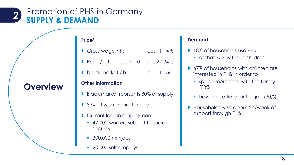#### **2** Promotion of PHS in Germany **SUPPLY & DEMAND**

**Overview**

### **Price1**

| Gross wage $/ h$ : | ca. 11-14 $\epsilon$ |
|--------------------|----------------------|
|                    |                      |

- Price / h for household: ca.  $27-34 \in$
- **b** black market / h: ca. 11-15€

#### **Other information**

- Black market reprsents 80% of supply
- 83% of workers are female
- **Current legale employment** 
	- **47.000 workers subject to social** security
	- 300.000 minijobs
	- 20.000 self-employed

#### **Demand**

- 18% of households use PHS
	- of that 75% without children
- **67% of households with children are** interested in PHS in order to
	- **s** spend more time with the family (83%)
	- have more time for the job (30%)
- Households wish about 2h/week of support through PHS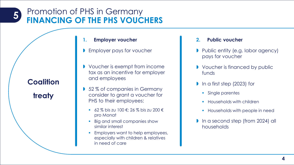#### **5** Promotion of PHS in Germany **FINANCING OF THE PHS VOUCHERS**

**Coalition** 

**treaty**

- **1. Employer voucher**
- **B** Employer pays for voucher
- **I** Voucher is exempt from income tax as an incentive for employer and employees
- 52% of companies in Germany consider to grant a voucher for PHS to their employees:
	- 62 % bis zu 100 €; 26 % bis zu 200 € pro Monat
	- Big and small companies show similar interest
	- **Employers want to help employees,** especially with children & relatives in need of care

#### **2. Public voucher**

- **Public entity (e.g. labor agency)** pays for voucher
- **Voucher is financed by public** funds
- In a first step (2023) for
	- **Single parentes**
	- **Households with children**
	- **Households with people in need**
- **In a second step (from 2024) all** households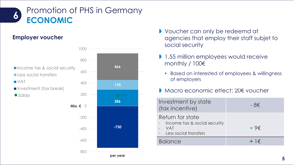

# **Employer voucher**



- **Voucher can only be redeemd at** agencies that employ their staff subjet to social security
- **1,55 million employees would receive** monthly / 100€
	- **Based on interested of employees & willingness** of employers
- Macro economic effect: 20€ voucher

| Investment by state<br>(tax incentive)                                                      | - 8€         |
|---------------------------------------------------------------------------------------------|--------------|
| Return for state<br>- Income tax & social security<br><b>VAT</b><br>- Less social transfers | $+9\epsilon$ |
| <b>Balance</b>                                                                              | $+$ 1 $\in$  |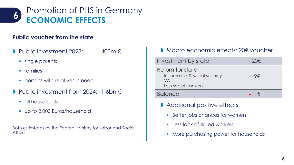

## **Public voucher from the state**

- Public investment 2023:  $400m \in$ 
	- **single parents**
	- **•** families
	- **•** persons with relatives in need
- Public investment from 2024: 1,6bn €
	- **all households**
	- **up to 2.000 Euros/household**

Both estimtates by the Federal Ministry for Labor and Social **Affairs** 

## D Macro economic effects: 20€ voucher

| Investment by state                                                                    | $-20 \epsilon$ |
|----------------------------------------------------------------------------------------|----------------|
| Return for state<br>- Income tax & social security<br>- VAT<br>- Less social transfers | $+9\epsilon$   |
| <b>Balance</b>                                                                         | $-11 \in$      |

- **Additional positive effects** 
	- **Better jobs chances for women**
	- **Less lack of skilled workers**
	- **More purchasing power for households**